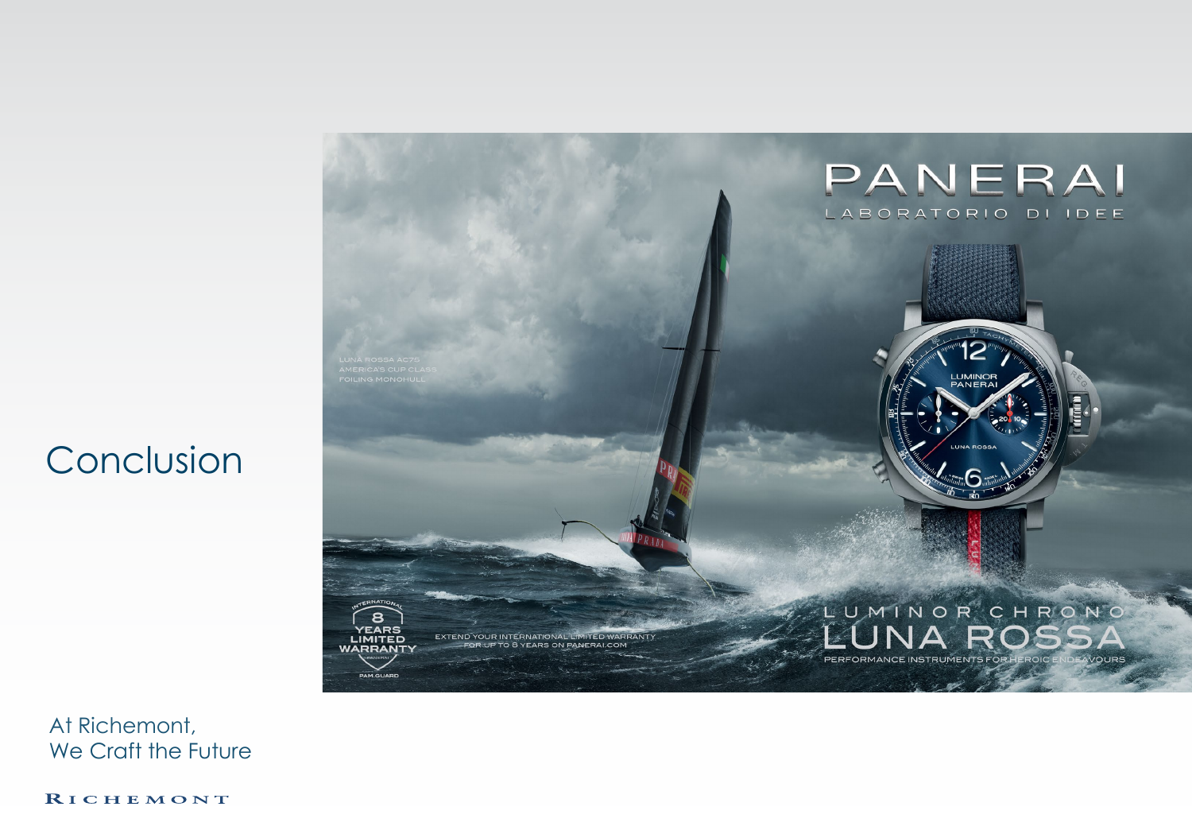## Conclusion



At Richemont, We Craft the Future

RICHEMONT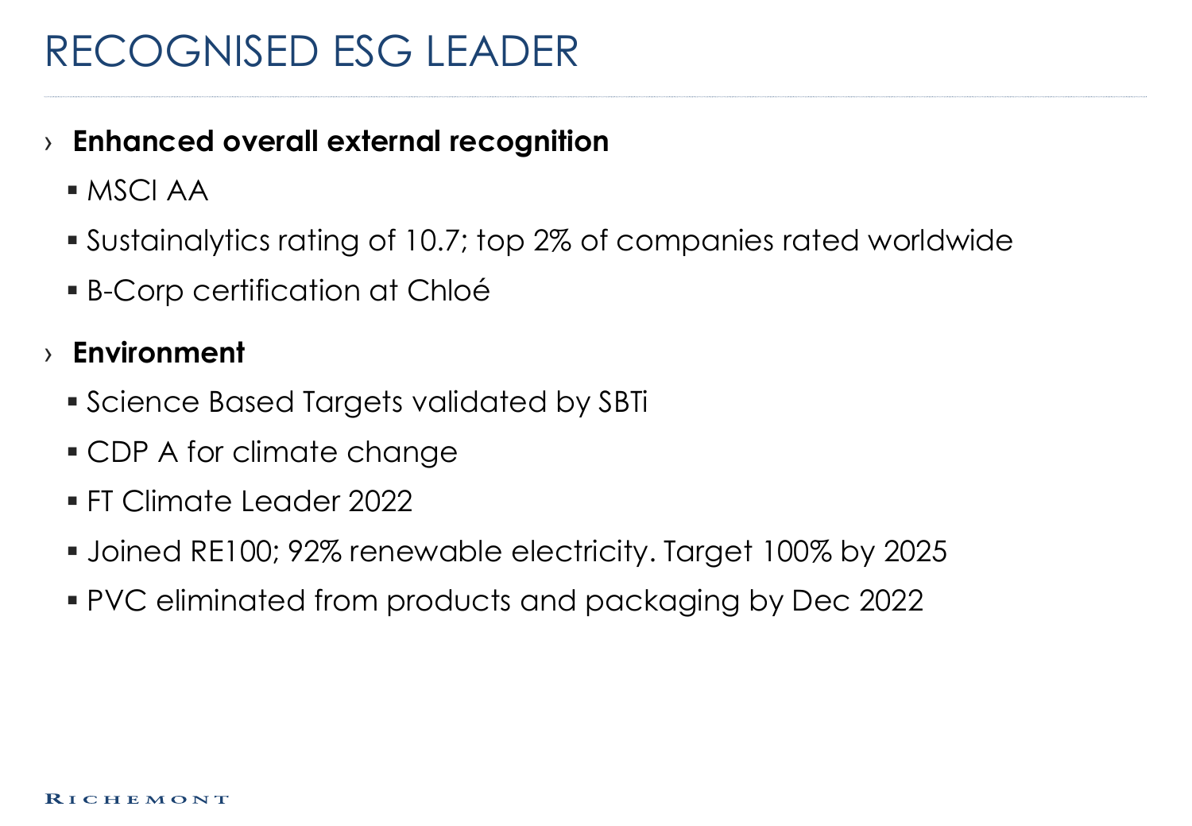## RECOGNISED ESG LEADER

#### › **Enhanced overall external recognition**

- MSCI AA
- Sustainalytics rating of 10.7; top 2% of companies rated worldwide
- B-Corp certification at Chloé

### › **Environment**

- Science Based Targets validated by SBTi
- CDP A for climate change
- FT Climate Leader 2022
- Joined RE100; 92% renewable electricity. Target 100% by 2025
- PVC eliminated from products and packaging by Dec 2022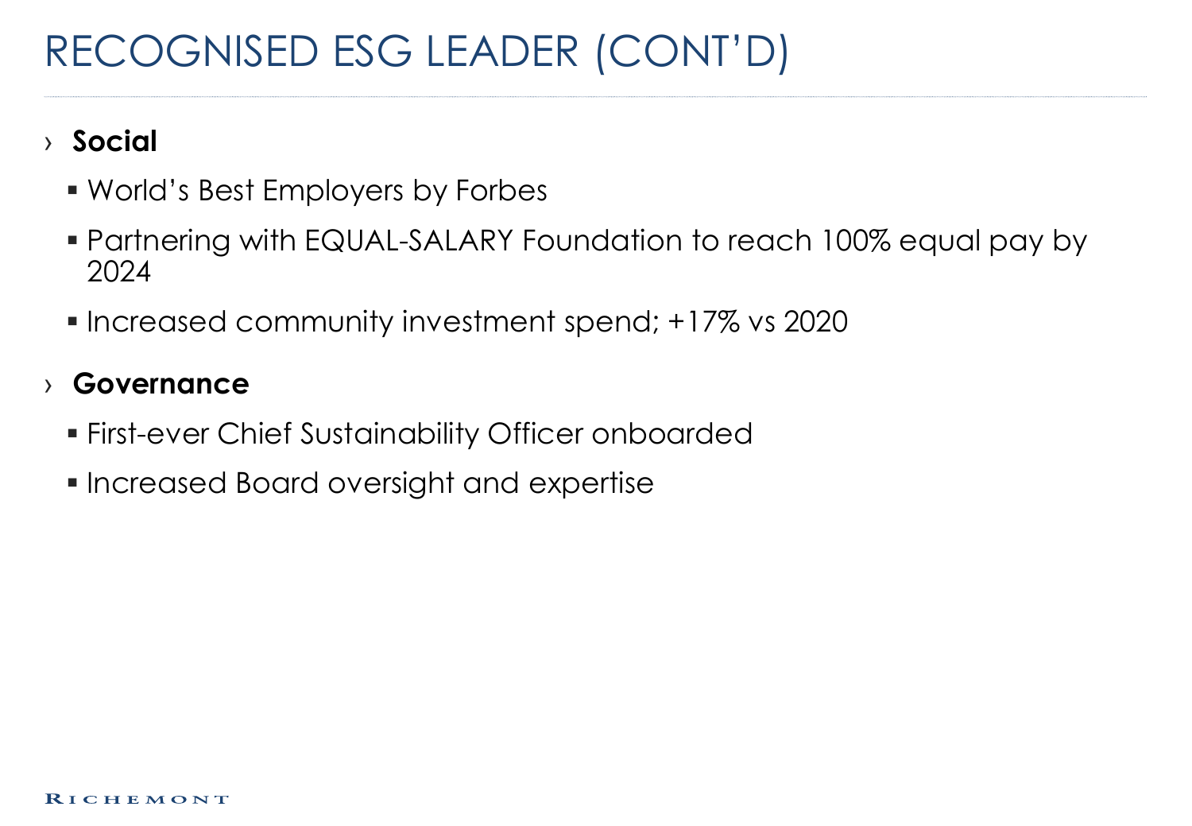# RECOGNISED ESG LEADER (CONT'D)

### › **Social**

- World's Best Employers by Forbes
- Partnering with EQUAL-SALARY Foundation to reach 100% equal pay by 2024
- **Increased community investment spend; +17% vs 2020**

#### › **Governance**

- First-ever Chief Sustainability Officer onboarded
- **Increased Board oversight and expertise**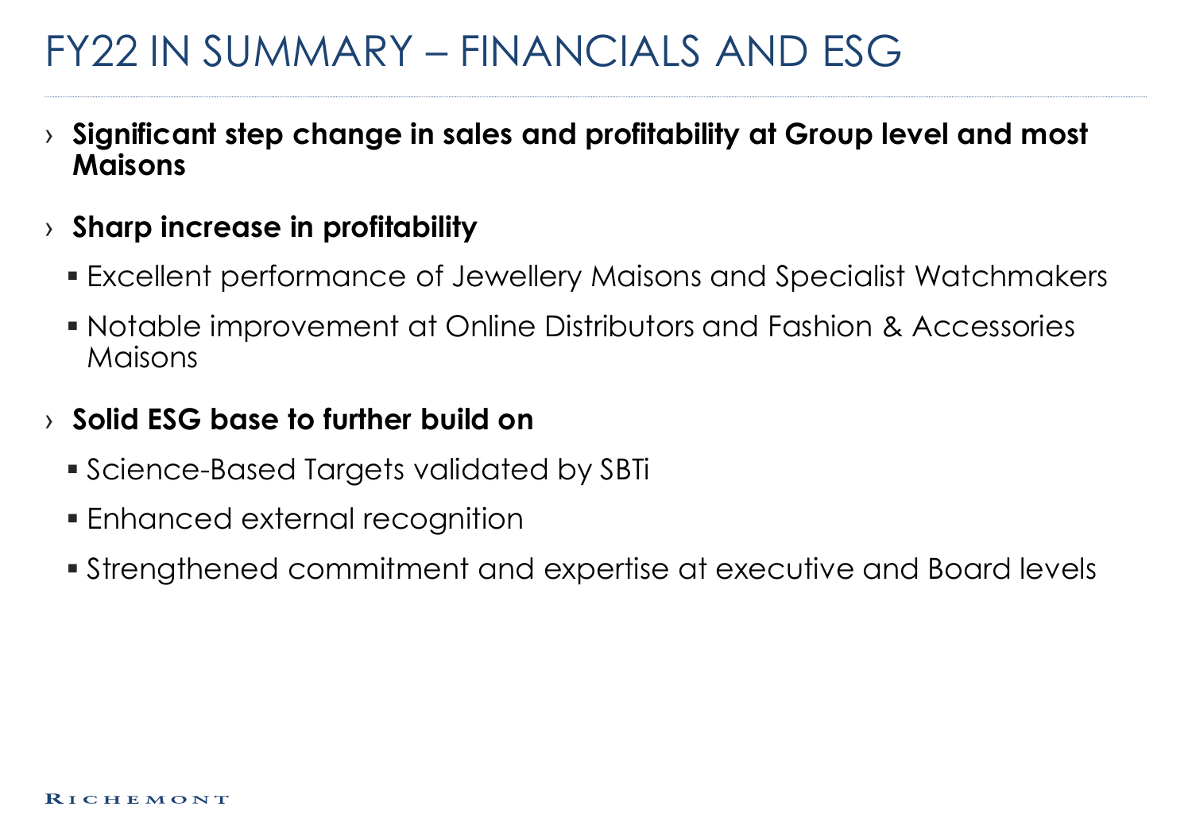## FY22 IN SUMMARY – FINANCIALS AND ESG

- › **Significant step change in sales and profitability at Group level and most Maisons**
- › **Sharp increase in profitability**
	- Excellent performance of Jewellery Maisons and Specialist Watchmakers
	- Notable improvement at Online Distributors and Fashion & Accessories Maisons

#### › **Solid ESG base to further build on**

- Science-Based Targets validated by SBTi
- Enhanced external recognition
- Strengthened commitment and expertise at executive and Board levels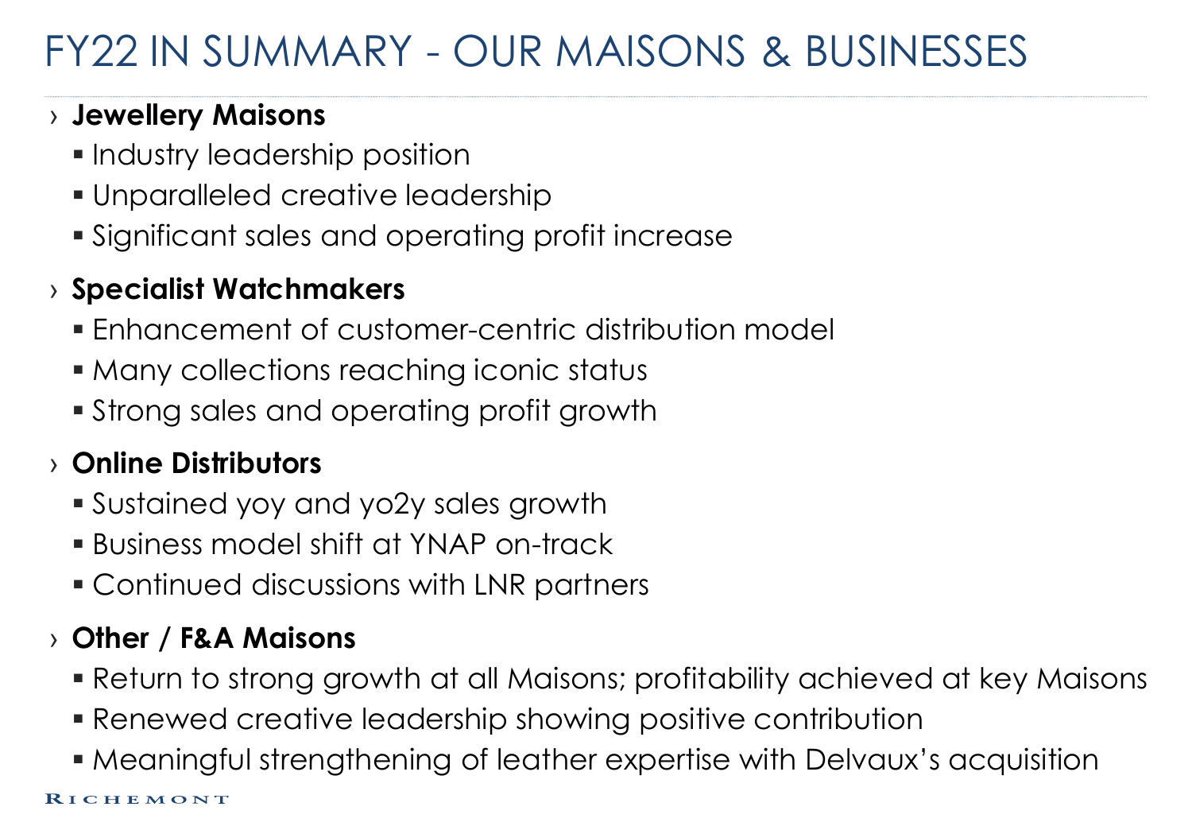# FY22 IN SUMMARY - OUR MAISONS & BUSINESSES

### › **Jewellery Maisons**

- **Industry leadership position**
- Unparalleled creative leadership
- Significant sales and operating profit increase

### › **Specialist Watchmakers**

- Enhancement of customer-centric distribution model
- Many collections reaching iconic status
- Strong sales and operating profit growth

### › **Online Distributors**

- Sustained yoy and yo2y sales growth
- Business model shift at YNAP on-track
- Continued discussions with LNR partners

### › **Other / F&A Maisons**

- Return to strong growth at all Maisons; profitability achieved at key Maisons
- Renewed creative leadership showing positive contribution
- Meaningful strengthening of leather expertise with Delvaux's acquisition

RICHEMONT